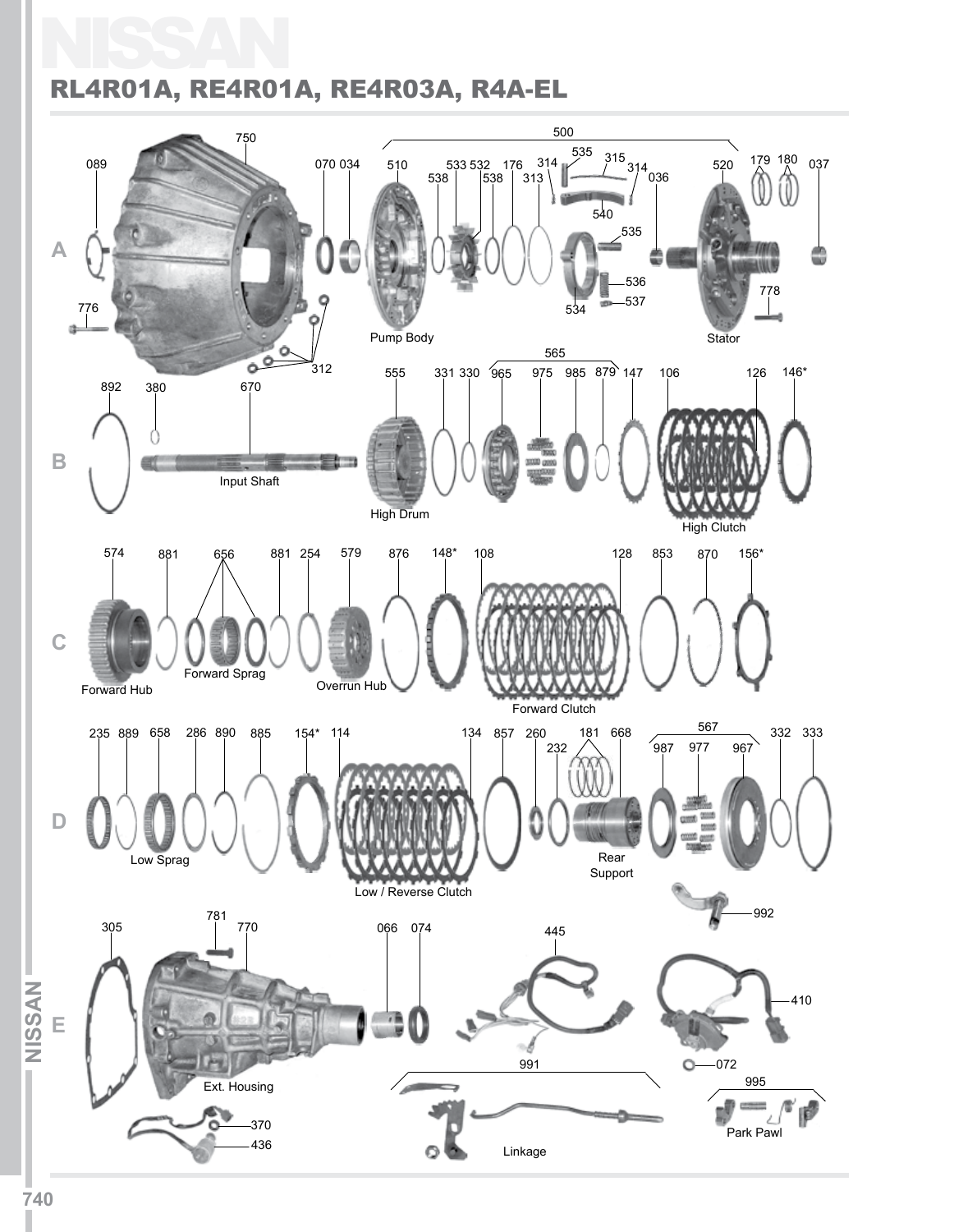## NISSAN RL4R01A, RE4R01A, RE4R03A, R4A-EL